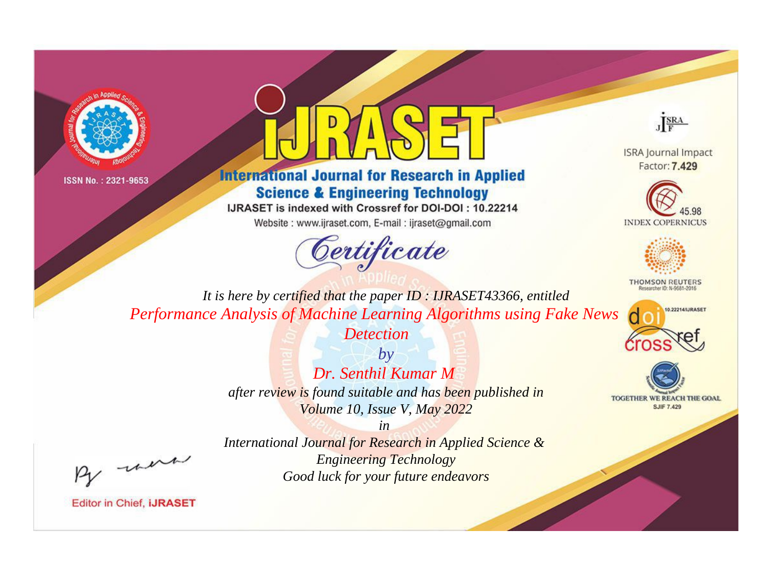



## **International Journal for Research in Applied Science & Engineering Technology**

IJRASET is indexed with Crossref for DOI-DOI: 10.22214

Website: www.ijraset.com, E-mail: ijraset@gmail.com





**ISRA Journal Impact** Factor: 7.429





**THOMSON REUTERS** 



TOGETHER WE REACH THE GOAL **SJIF 7.429** 

*It is here by certified that the paper ID : IJRASET43366, entitled Performance Analysis of Machine Learning Algorithms using Fake News* 

> *Detection by*

*Dr. Senthil Kumar M after review is found suitable and has been published in Volume 10, Issue V, May 2022*

*in* 

, were

*International Journal for Research in Applied Science & Engineering Technology Good luck for your future endeavors*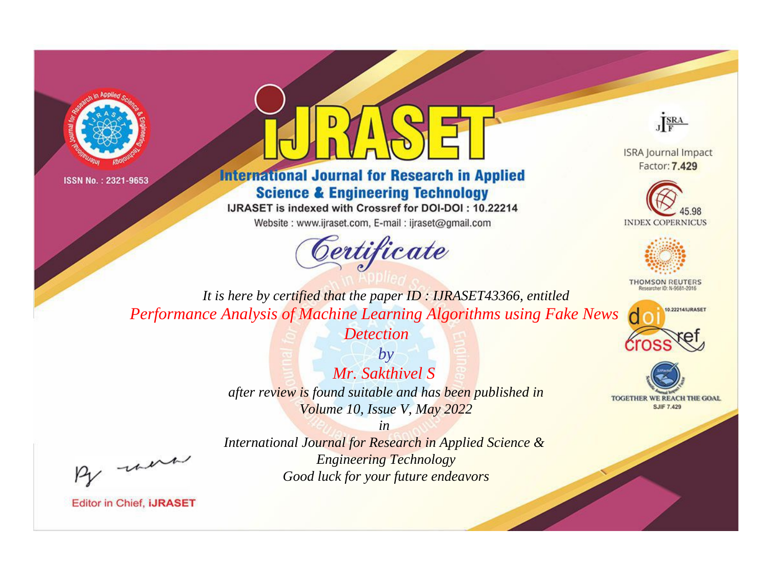



## **International Journal for Research in Applied Science & Engineering Technology**

IJRASET is indexed with Crossref for DOI-DOI: 10.22214

Website: www.ijraset.com, E-mail: ijraset@gmail.com



JERA

**ISRA Journal Impact** Factor: 7.429





**THOMSON REUTERS** 



TOGETHER WE REACH THE GOAL **SJIF 7.429** 

It is here by certified that the paper ID: IJRASET43366, entitled Performance Analysis of Machine Learning Algorithms using Fake News

> **Detection**  $b\nu$ Mr. Sakthivel S after review is found suitable and has been published in Volume 10, Issue V, May 2022

 $in$ International Journal for Research in Applied Science & **Engineering Technology** Good luck for your future endeavors

were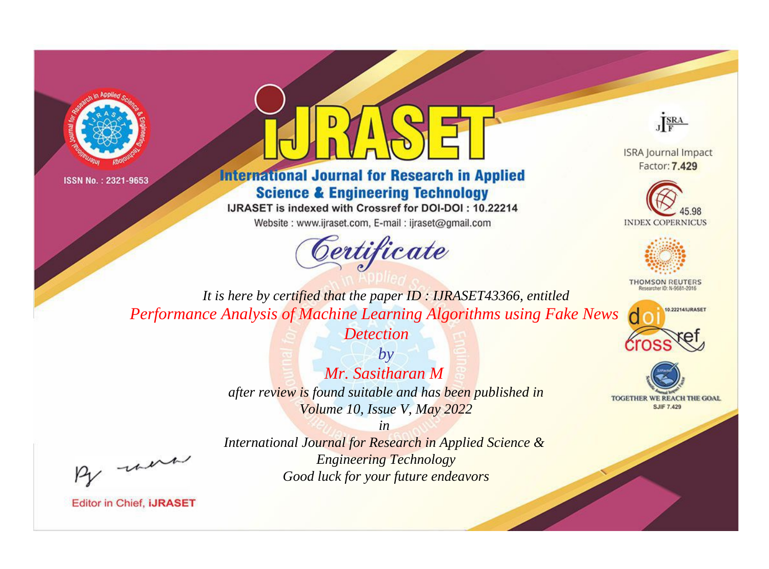



## **International Journal for Research in Applied Science & Engineering Technology**

IJRASET is indexed with Crossref for DOI-DOI: 10.22214

Website: www.ijraset.com, E-mail: ijraset@gmail.com



JERA

**ISRA Journal Impact** Factor: 7.429





**THOMSON REUTERS** 



TOGETHER WE REACH THE GOAL **SJIF 7.429** 

It is here by certified that the paper ID: IJRASET43366, entitled Performance Analysis of Machine Learning Algorithms using Fake News

> $b\nu$ Mr. Sasitharan M after review is found suitable and has been published in Volume 10, Issue V, May 2022

**Detection** 

were

International Journal for Research in Applied Science & **Engineering Technology** Good luck for your future endeavors

 $in$